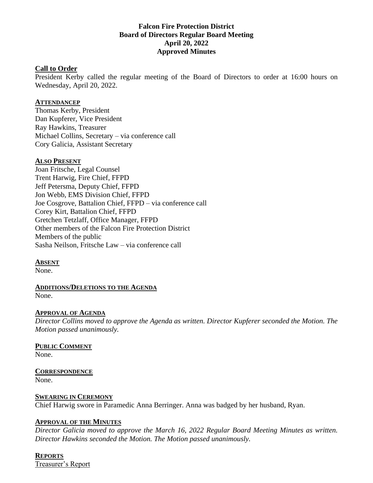### **Falcon Fire Protection District Board of Directors Regular Board Meeting April 20, 2022 Approved Minutes**

#### **Call to Order**

President Kerby called the regular meeting of the Board of Directors to order at 16:00 hours on Wednesday, April 20, 2022.

#### **ATTENDANCEP**

Thomas Kerby, President Dan Kupferer, Vice President Ray Hawkins, Treasurer Michael Collins, Secretary – via conference call Cory Galicia, Assistant Secretary

#### **ALSO PRESENT**

Joan Fritsche, Legal Counsel Trent Harwig, Fire Chief, FFPD Jeff Petersma, Deputy Chief, FFPD Jon Webb, EMS Division Chief, FFPD Joe Cosgrove, Battalion Chief, FFPD – via conference call Corey Kirt, Battalion Chief, FFPD Gretchen Tetzlaff, Office Manager, FFPD Other members of the Falcon Fire Protection District Members of the public Sasha Neilson, Fritsche Law – via conference call

#### **ABSENT**

None.

**ADDITIONS/DELETIONS TO THE AGENDA** None.

### **APPROVAL OF AGENDA**

*Director Collins moved to approve the Agenda as written. Director Kupferer seconded the Motion. The Motion passed unanimously.*

# **PUBLIC COMMENT**

None.

# **CORRESPONDENCE**

None.

### **SWEARING IN CEREMONY**

Chief Harwig swore in Paramedic Anna Berringer. Anna was badged by her husband, Ryan.

### **APPROVAL OF THE MINUTES**

*Director Galicia moved to approve the March 16, 2022 Regular Board Meeting Minutes as written. Director Hawkins seconded the Motion. The Motion passed unanimously.*

### **REPORTS**

Treasurer's Report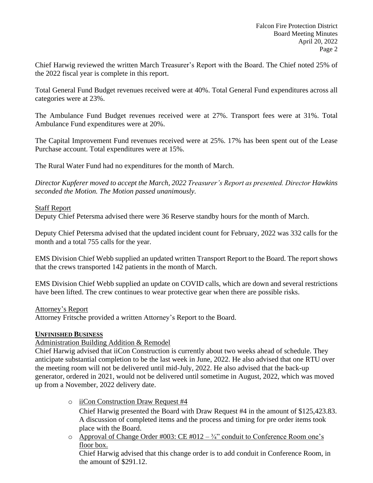Chief Harwig reviewed the written March Treasurer's Report with the Board. The Chief noted 25% of the 2022 fiscal year is complete in this report.

Total General Fund Budget revenues received were at 40%. Total General Fund expenditures across all categories were at 23%.

The Ambulance Fund Budget revenues received were at 27%. Transport fees were at 31%. Total Ambulance Fund expenditures were at 20%.

The Capital Improvement Fund revenues received were at 25%. 17% has been spent out of the Lease Purchase account. Total expenditures were at 15%.

The Rural Water Fund had no expenditures for the month of March.

*Director Kupferer moved to accept the March, 2022 Treasurer's Report as presented. Director Hawkins seconded the Motion. The Motion passed unanimously.*

### Staff Report

Deputy Chief Petersma advised there were 36 Reserve standby hours for the month of March.

Deputy Chief Petersma advised that the updated incident count for February, 2022 was 332 calls for the month and a total 755 calls for the year.

EMS Division Chief Webb supplied an updated written Transport Report to the Board. The report shows that the crews transported 142 patients in the month of March.

EMS Division Chief Webb supplied an update on COVID calls, which are down and several restrictions have been lifted. The crew continues to wear protective gear when there are possible risks.

### Attorney's Report

Attorney Fritsche provided a written Attorney's Report to the Board.

### **UNFINISHED BUSINESS**

### Administration Building Addition & Remodel

Chief Harwig advised that iiCon Construction is currently about two weeks ahead of schedule. They anticipate substantial completion to be the last week in June, 2022. He also advised that one RTU over the meeting room will not be delivered until mid-July, 2022. He also advised that the back-up generator, ordered in 2021, would not be delivered until sometime in August, 2022, which was moved up from a November, 2022 delivery date.

o iiCon Construction Draw Request #4

Chief Harwig presented the Board with Draw Request #4 in the amount of \$125,423.83. A discussion of completed items and the process and timing for pre order items took place with the Board.

 $\circ$  Approval of Change Order #003: CE #012 –  $\frac{3}{4}$ " conduit to Conference Room one's floor box.

Chief Harwig advised that this change order is to add conduit in Conference Room, in the amount of \$291.12.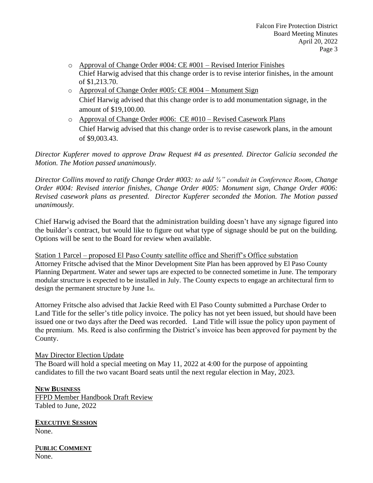- $\circ$  Approval of Change Order #004: CE #001 Revised Interior Finishes Chief Harwig advised that this change order is to revise interior finishes, in the amount of \$1,213.70.
- $\circ$  Approval of Change Order #005: CE #004 Monument Sign Chief Harwig advised that this change order is to add monumentation signage, in the amount of \$19,100.00.
- o Approval of Change Order #006: CE #010 Revised Casework Plans Chief Harwig advised that this change order is to revise casework plans, in the amount of \$9,003.43.

*Director Kupferer moved to approve Draw Request #4 as presented. Director Galicia seconded the Motion. The Motion passed unanimously.*

*Director Collins moved to ratify Change Order #003: to add ¾" conduit in Conference Room, Change Order #004: Revised interior finishes, Change Order #005: Monument sign, Change Order #006: Revised casework plans as presented. Director Kupferer seconded the Motion. The Motion passed unanimously.*

Chief Harwig advised the Board that the administration building doesn't have any signage figured into the builder's contract, but would like to figure out what type of signage should be put on the building. Options will be sent to the Board for review when available.

Station 1 Parcel – proposed El Paso County satellite office and Sheriff's Office substation Attorney Fritsche advised that the Minor Development Site Plan has been approved by El Paso County Planning Department. Water and sewer taps are expected to be connected sometime in June. The temporary modular structure is expected to be installed in July. The County expects to engage an architectural firm to design the permanent structure by June 1st.

Attorney Fritsche also advised that Jackie Reed with El Paso County submitted a Purchase Order to Land Title for the seller's title policy invoice. The policy has not yet been issued, but should have been issued one or two days after the Deed was recorded. Land Title will issue the policy upon payment of the premium. Ms. Reed is also confirming the District's invoice has been approved for payment by the County.

### May Director Election Update

The Board will hold a special meeting on May 11, 2022 at 4:00 for the purpose of appointing candidates to fill the two vacant Board seats until the next regular election in May, 2023.

#### **NEW BUSINESS**

FFPD Member Handbook Draft Review Tabled to June, 2022

**EXECUTIVE SESSION** None.

P**UBLIC COMMENT** None.